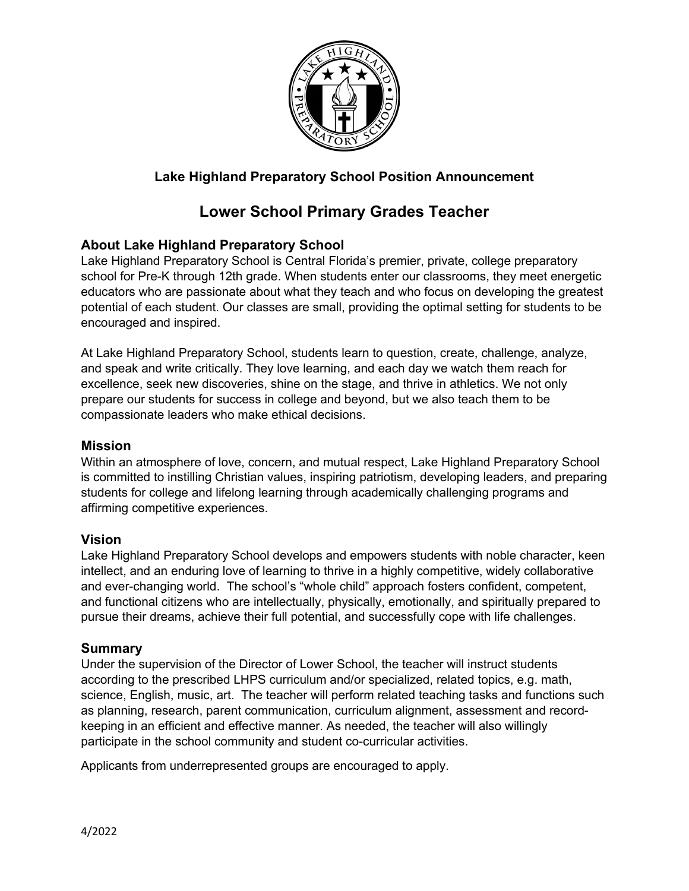

# **Lake Highland Preparatory School Position Announcement**

# **Lower School Primary Grades Teacher**

### **About Lake Highland Preparatory School**

Lake Highland Preparatory School is Central Florida's premier, private, college preparatory school for Pre-K through 12th grade. When students enter our classrooms, they meet energetic educators who are passionate about what they teach and who focus on developing the greatest potential of each student. Our classes are small, providing the optimal setting for students to be encouraged and inspired.

At Lake Highland Preparatory School, students learn to question, create, challenge, analyze, and speak and write critically. They love learning, and each day we watch them reach for excellence, seek new discoveries, shine on the stage, and thrive in athletics. We not only prepare our students for success in college and beyond, but we also teach them to be compassionate leaders who make ethical decisions.

#### **Mission**

Within an atmosphere of love, concern, and mutual respect, Lake Highland Preparatory School is committed to instilling Christian values, inspiring patriotism, developing leaders, and preparing students for college and lifelong learning through academically challenging programs and affirming competitive experiences.

#### **Vision**

Lake Highland Preparatory School develops and empowers students with noble character, keen intellect, and an enduring love of learning to thrive in a highly competitive, widely collaborative and ever-changing world. The school's "whole child" approach fosters confident, competent, and functional citizens who are intellectually, physically, emotionally, and spiritually prepared to pursue their dreams, achieve their full potential, and successfully cope with life challenges.

### **Summary**

Under the supervision of the Director of Lower School, the teacher will instruct students according to the prescribed LHPS curriculum and/or specialized, related topics, e.g. math, science, English, music, art. The teacher will perform related teaching tasks and functions such as planning, research, parent communication, curriculum alignment, assessment and recordkeeping in an efficient and effective manner. As needed, the teacher will also willingly participate in the school community and student co-curricular activities.

Applicants from underrepresented groups are encouraged to apply.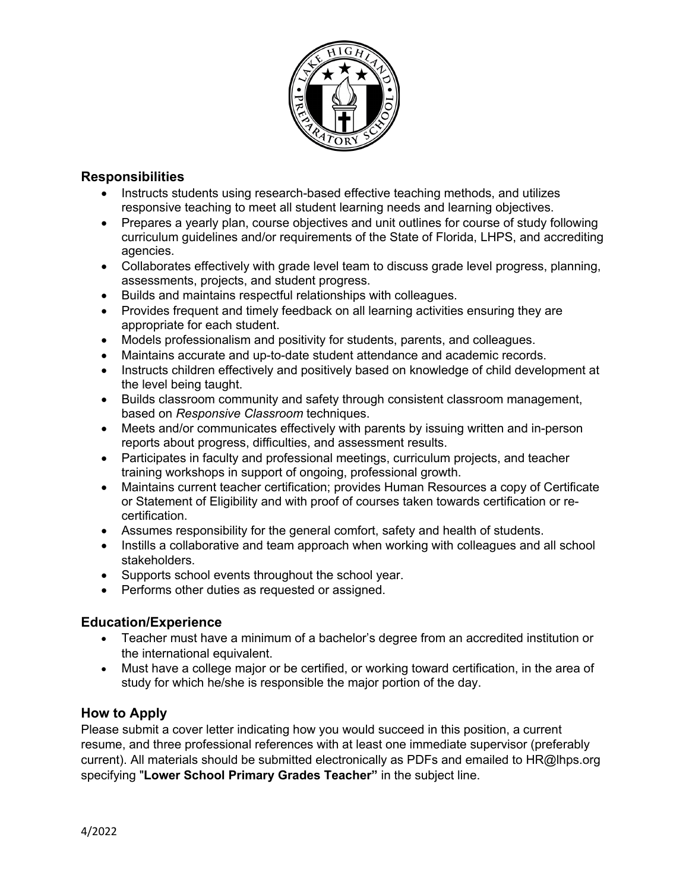

# **Responsibilities**

- Instructs students using research-based effective teaching methods, and utilizes responsive teaching to meet all student learning needs and learning objectives.
- Prepares a yearly plan, course objectives and unit outlines for course of study following curriculum guidelines and/or requirements of the State of Florida, LHPS, and accrediting agencies.
- Collaborates effectively with grade level team to discuss grade level progress, planning, assessments, projects, and student progress.
- Builds and maintains respectful relationships with colleagues.
- Provides frequent and timely feedback on all learning activities ensuring they are appropriate for each student.
- Models professionalism and positivity for students, parents, and colleagues.
- Maintains accurate and up-to-date student attendance and academic records.
- Instructs children effectively and positively based on knowledge of child development at the level being taught.
- Builds classroom community and safety through consistent classroom management, based on *Responsive Classroom* techniques.
- Meets and/or communicates effectively with parents by issuing written and in-person reports about progress, difficulties, and assessment results.
- Participates in faculty and professional meetings, curriculum projects, and teacher training workshops in support of ongoing, professional growth.
- Maintains current teacher certification; provides Human Resources a copy of Certificate or Statement of Eligibility and with proof of courses taken towards certification or recertification.
- Assumes responsibility for the general comfort, safety and health of students.
- Instills a collaborative and team approach when working with colleagues and all school stakeholders.
- Supports school events throughout the school year.
- Performs other duties as requested or assigned.

# **Education/Experience**

- Teacher must have a minimum of a bachelor's degree from an accredited institution or the international equivalent.
- Must have a college major or be certified, or working toward certification, in the area of study for which he/she is responsible the major portion of the day.

# **How to Apply**

Please submit a cover letter indicating how you would succeed in this position, a current resume, and three professional references with at least one immediate supervisor (preferably current). All materials should be submitted electronically as PDFs and emailed to HR@lhps.org specifying "**Lower School Primary Grades Teacher"** in the subject line.